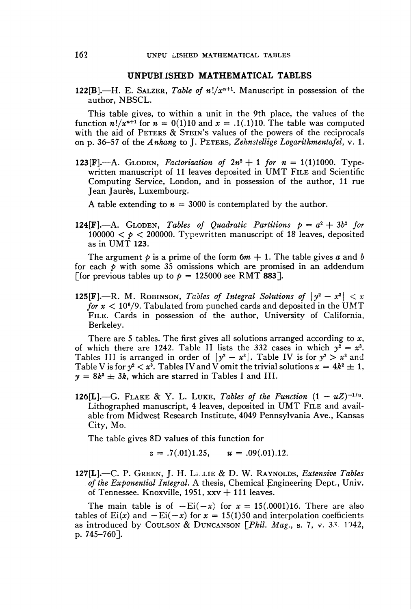## UNPUBLISHED MATHEMATICAL TABLES

122[B].—H. E. SALZER, Table of  $n!/x^{n+1}$ . Manuscript in possession of the author, NBSCL.

This table gives, to within a unit in the 9th place, the values of the function  $n!/x^{n+1}$  for  $n = 0(1)10$  and  $x = .1(.1)10$ . The table was computed with the aid of PETERS & STEIN's values of the powers of the reciprocals on p. 36-57 of the Anhang to J. Peters, Zehnstellige Logarithmentafel, v. 1.

123[F].—A. GLODEN, Factorization of  $2n^2 + 1$  for  $n = 1(1)1000$ . Typewritten manuscript of 11 leaves deposited in UMT FILE and Scientific Computing Service, London, and in possession of the author, 11 rue Jean Jaurès, Luxembourg.

A table extending to  $n = 3000$  is contemplated by the author.

124 $[F]$ . GLODEN, Tables of Quadratic Partitions  $p = a^2 + 3b^2$  for 100000  $\lt p \lt 200000$ . Typewritten manuscript of 18 leaves, deposited as in UMT 123.

The argument  $p$  is a prime of the form  $6m + 1$ . The table gives a and b for each  $\phi$  with some 35 omissions which are promised in an addendum [for previous tables up to  $p = 125000$  see RMT 883].

125[F].—R. M. ROBINSON, Tables of Integral Solutions of  $|y^2 - x^3| < x$ for  $x < 10^6/9$ . Tabulated from punched cards and deposited in the UMT FILE. Cards in possession of the author, University of California, Berkeley.

There are 5 tables. The first gives all solutions arranged according to x, of which there are 1242. Table II lists the 332 cases in which  $y^2 = x^3$ . Tables III is arranged in order of  $|y^2 - x^3|$ . Table IV is for  $y^2 > x^3$  and Table V is for  $y^2 < x^3$ . Tables IV and V omit the trivial solutions  $x = 4k^2 \pm 1$ ,  $y = 8k^3 \pm 3k$ , which are starred in Tables I and III.

126[L].—G. FLAKE & Y. L. LUKE, Tables of the Function  $(1 - uZ)^{-1/u}$ . Lithographed manuscript, 4 leaves, deposited in UMT File and available from Midwest Research Institute, 4049 Pennsylvania Ave., Kansas City, Mo.

The table gives 8D values of this function for

 $z = .7(.01)1.25$ ,  $u = .09(.01).12$ .

 $127[L]$ .—C. P. GREEN, J. H. LELIE & D. W. RAYNOLDS, Extensive Tables of the Exponential Integral. A thesis, Chemical Engineering Dept., Univ. of Tennessee. Knoxville, 1951,  $xxv + 111$  leaves.

The main table is of  $-Ei(-x)$  for  $x = 15(.0001)16$ . There are also tables of  $Ei(x)$  and  $-Ei(-x)$  for  $x = 15(1)50$  and interpolation coefficients as introduced by COULSON & DUNCANSON  $[Phi. Mag., s. 7, v. 33, 1942,$ p. 745-760].